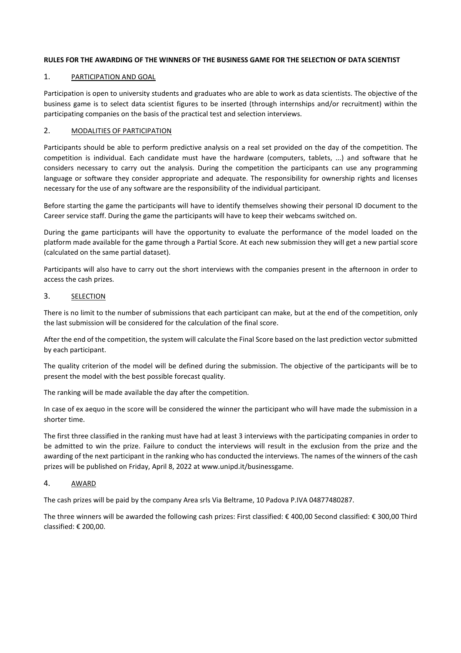## **RULES FOR THE AWARDING OF THE WINNERS OF THE BUSINESS GAME FOR THE SELECTION OF DATA SCIENTIST**

## 1. PARTICIPATION AND GOAL

Participation is open to university students and graduates who are able to work as data scientists. The objective of the business game is to select data scientist figures to be inserted (through internships and/or recruitment) within the participating companies on the basis of the practical test and selection interviews.

### 2. MODALITIES OF PARTICIPATION

Participants should be able to perform predictive analysis on a real set provided on the day of the competition. The competition is individual. Each candidate must have the hardware (computers, tablets, ...) and software that he considers necessary to carry out the analysis. During the competition the participants can use any programming language or software they consider appropriate and adequate. The responsibility for ownership rights and licenses necessary for the use of any software are the responsibility of the individual participant.

Before starting the game the participants will have to identify themselves showing their personal ID document to the Career service staff. During the game the participants will have to keep their webcams switched on.

During the game participants will have the opportunity to evaluate the performance of the model loaded on the platform made available for the game through a Partial Score. At each new submission they will get a new partial score (calculated on the same partial dataset).

Participants will also have to carry out the short interviews with the companies present in the afternoon in order to access the cash prizes.

### 3. SELECTION

There is no limit to the number of submissions that each participant can make, but at the end of the competition, only the last submission will be considered for the calculation of the final score.

After the end of the competition, the system will calculate the Final Score based on the last prediction vector submitted by each participant.

The quality criterion of the model will be defined during the submission. The objective of the participants will be to present the model with the best possible forecast quality.

The ranking will be made available the day after the competition.

In case of ex aequo in the score will be considered the winner the participant who will have made the submission in a shorter time.

The first three classified in the ranking must have had at least 3 interviews with the participating companies in order to be admitted to win the prize. Failure to conduct the interviews will result in the exclusion from the prize and the awarding of the next participant in the ranking who has conducted the interviews. The names of the winners of the cash prizes will be published on Friday, April 8, 2022 at [www.unipd.it/businessgame.](http://www.unipd.it/businessgame)

## 4. AWARD

The cash prizes will be paid by the company Area srls Via Beltrame, 10 Padova P.IVA 04877480287.

The three winners will be awarded the following cash prizes: First classified: € 400,00 Second classified: € 300,00 Third classified: € 200,00.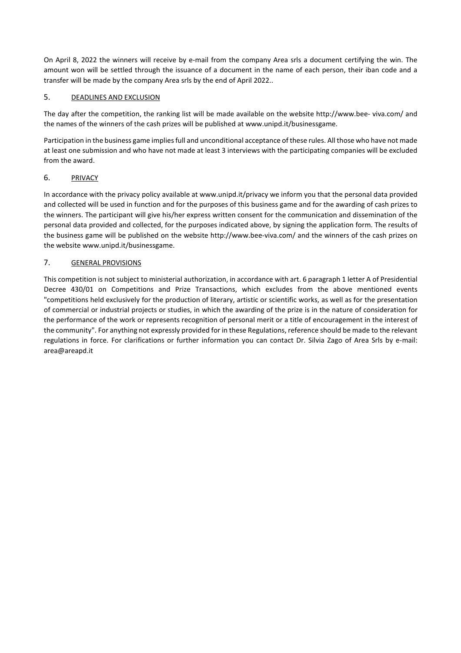On April 8, 2022 the winners will receive by e-mail from the company Area srls a document certifying the win. The amount won will be settled through the issuance of a document in the name of each person, their iban code and a transfer will be made by the company Area srls by the end of April 2022..

# 5. DEADLINES AND EXCLUSION

The day after the competition, the ranking list will be made available on the website http://www.bee- viva.com/ and the names of the winners of the cash prizes will be published at [www.unipd.it/businessgame.](http://www.unipd.it/businessgame)

Participation in the business game implies full and unconditional acceptance of these rules. All those who have not made at least one submission and who have not made at least 3 interviews with the participating companies will be excluded from the award.

# 6. PRIVACY

In accordance with the privacy policy available at [www.unipd.it/privacy w](http://www.unipd.it/privacy)e inform you that the personal data provided and collected will be used in function and for the purposes of this business game and for the awarding of cash prizes to the winners. The participant will give his/her express written consent for the communication and dissemination of the personal data provided and collected, for the purposes indicated above, by signing the application form. The results of the business game will be published on the website [http://www.bee-viva.com/ a](http://www.bee-viva.com/)nd the winners of the cash prizes on the websit[e www.unipd.it/businessgame.](http://www.unipd.it/businessgame)

# 7. GENERAL PROVISIONS

This competition is not subject to ministerial authorization, in accordance with art. 6 paragraph 1 letter A of Presidential Decree 430/01 on Competitions and Prize Transactions, which excludes from the above mentioned events "competitions held exclusively for the production of literary, artistic or scientific works, as well as for the presentation of commercial or industrial projects or studies, in which the awarding of the prize is in the nature of consideration for the performance of the work or represents recognition of personal merit or a title of encouragement in the interest of the community". For anything not expressly provided for in these Regulations, reference should be made to the relevant regulations in force. For clarifications or further information you can contact Dr. Silvia Zago of Area Srls by e-mail: [area@areapd.it](mailto:area@areapd.it)